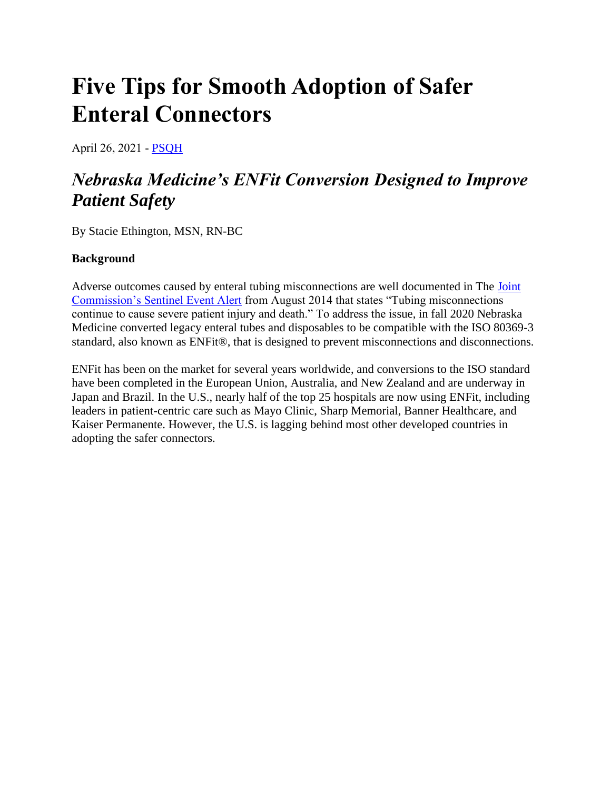# **Five Tips for Smooth Adoption of Safer Enteral Connectors**

April 26, 2021 ‐ [PSQH](https://www.psqh.com/author/psqh/)

## *Nebraska Medicine's ENFit Conversion Designed to Improve Patient Safety*

By Stacie Ethington, MSN, RN-BC

### **Background**

Adverse outcomes caused by enteral tubing misconnections are well documented in The [Joint](http://stayconnected.org/wp-content/uploads/2017/01/joint-commission-sentinal-alert-53.pdf)  [Commission's Sentinel Event Alert](http://stayconnected.org/wp-content/uploads/2017/01/joint-commission-sentinal-alert-53.pdf) from August 2014 that states "Tubing misconnections continue to cause severe patient injury and death." To address the issue, in fall 2020 Nebraska Medicine converted legacy enteral tubes and disposables to be compatible with the ISO 80369-3 standard, also known as ENFit®, that is designed to prevent misconnections and disconnections.

ENFit has been on the market for several years worldwide, and conversions to the ISO standard have been completed in the European Union, Australia, and New Zealand and are underway in Japan and Brazil. In the U.S., nearly half of the top 25 hospitals are now using ENFit, including leaders in patient-centric care such as Mayo Clinic, Sharp Memorial, Banner Healthcare, and Kaiser Permanente. However, the U.S. is lagging behind most other developed countries in adopting the safer connectors.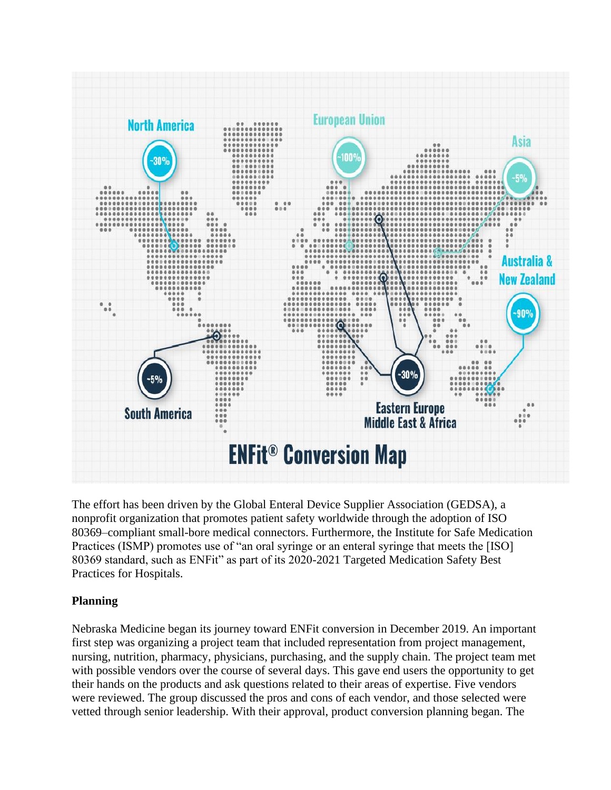

The effort has been driven by the Global Enteral Device Supplier Association (GEDSA), a nonprofit organization that promotes patient safety worldwide through the adoption of ISO 80369–compliant small-bore medical connectors. Furthermore, the Institute for Safe Medication Practices (ISMP) promotes use of "an oral syringe or an enteral syringe that meets the [ISO] 80369 standard, such as ENFit" as part of its 2020-2021 Targeted Medication Safety Best Practices for Hospitals.

#### **Planning**

Nebraska Medicine began its journey toward ENFit conversion in December 2019. An important first step was organizing a project team that included representation from project management, nursing, nutrition, pharmacy, physicians, purchasing, and the supply chain. The project team met with possible vendors over the course of several days. This gave end users the opportunity to get their hands on the products and ask questions related to their areas of expertise. Five vendors were reviewed. The group discussed the pros and cons of each vendor, and those selected were vetted through senior leadership. With their approval, product conversion planning began. The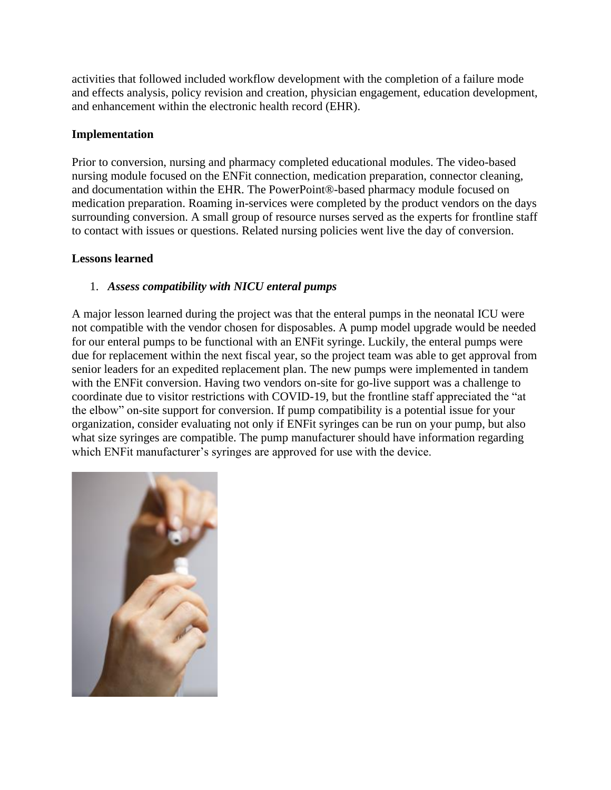activities that followed included workflow development with the completion of a failure mode and effects analysis, policy revision and creation, physician engagement, education development, and enhancement within the electronic health record (EHR).

#### **Implementation**

Prior to conversion, nursing and pharmacy completed educational modules. The video-based nursing module focused on the ENFit connection, medication preparation, connector cleaning, and documentation within the EHR. The PowerPoint®-based pharmacy module focused on medication preparation. Roaming in-services were completed by the product vendors on the days surrounding conversion. A small group of resource nurses served as the experts for frontline staff to contact with issues or questions. Related nursing policies went live the day of conversion.

#### **Lessons learned**

#### 1. *Assess compatibility with NICU enteral pumps*

A major lesson learned during the project was that the enteral pumps in the neonatal ICU were not compatible with the vendor chosen for disposables. A pump model upgrade would be needed for our enteral pumps to be functional with an ENFit syringe. Luckily, the enteral pumps were due for replacement within the next fiscal year, so the project team was able to get approval from senior leaders for an expedited replacement plan. The new pumps were implemented in tandem with the ENFit conversion. Having two vendors on-site for go-live support was a challenge to coordinate due to visitor restrictions with COVID-19, but the frontline staff appreciated the "at the elbow" on-site support for conversion. If pump compatibility is a potential issue for your organization, consider evaluating not only if ENFit syringes can be run on your pump, but also what size syringes are compatible. The pump manufacturer should have information regarding which ENFit manufacturer's syringes are approved for use with the device.

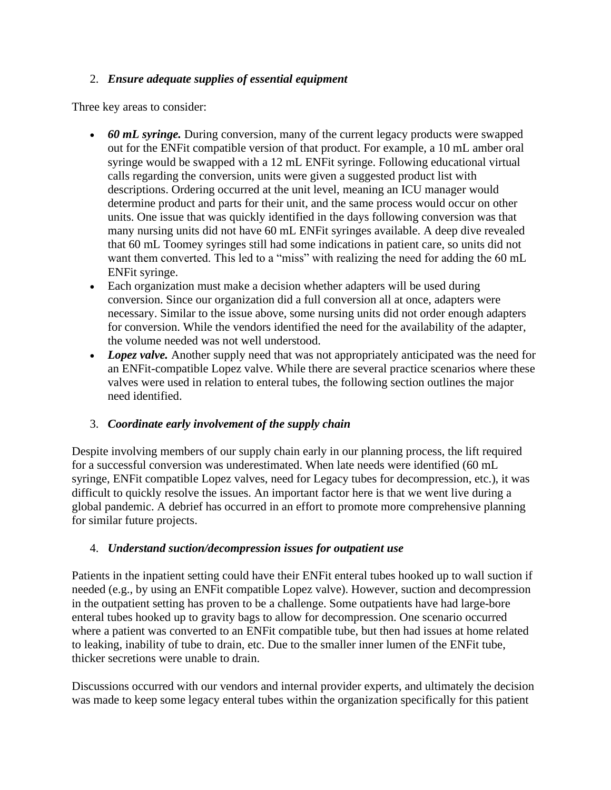### 2. *Ensure adequate supplies of essential equipment*

Three key areas to consider:

- *60 mL syringe.* During conversion, many of the current legacy products were swapped out for the ENFit compatible version of that product. For example, a 10 mL amber oral syringe would be swapped with a 12 mL ENFit syringe. Following educational virtual calls regarding the conversion, units were given a suggested product list with descriptions. Ordering occurred at the unit level, meaning an ICU manager would determine product and parts for their unit, and the same process would occur on other units. One issue that was quickly identified in the days following conversion was that many nursing units did not have 60 mL ENFit syringes available. A deep dive revealed that 60 mL Toomey syringes still had some indications in patient care, so units did not want them converted. This led to a "miss" with realizing the need for adding the 60 mL ENFit syringe.
- Each organization must make a decision whether adapters will be used during conversion. Since our organization did a full conversion all at once, adapters were necessary. Similar to the issue above, some nursing units did not order enough adapters for conversion. While the vendors identified the need for the availability of the adapter, the volume needed was not well understood.
- *Lopez valve.* Another supply need that was not appropriately anticipated was the need for an ENFit-compatible Lopez valve. While there are several practice scenarios where these valves were used in relation to enteral tubes, the following section outlines the major need identified.

#### 3. *Coordinate early involvement of the supply chain*

Despite involving members of our supply chain early in our planning process, the lift required for a successful conversion was underestimated. When late needs were identified (60 mL syringe, ENFit compatible Lopez valves, need for Legacy tubes for decompression, etc.), it was difficult to quickly resolve the issues. An important factor here is that we went live during a global pandemic. A debrief has occurred in an effort to promote more comprehensive planning for similar future projects.

#### 4. *Understand suction/decompression issues for outpatient use*

Patients in the inpatient setting could have their ENFit enteral tubes hooked up to wall suction if needed (e.g., by using an ENFit compatible Lopez valve). However, suction and decompression in the outpatient setting has proven to be a challenge. Some outpatients have had large-bore enteral tubes hooked up to gravity bags to allow for decompression. One scenario occurred where a patient was converted to an ENFit compatible tube, but then had issues at home related to leaking, inability of tube to drain, etc. Due to the smaller inner lumen of the ENFit tube, thicker secretions were unable to drain.

Discussions occurred with our vendors and internal provider experts, and ultimately the decision was made to keep some legacy enteral tubes within the organization specifically for this patient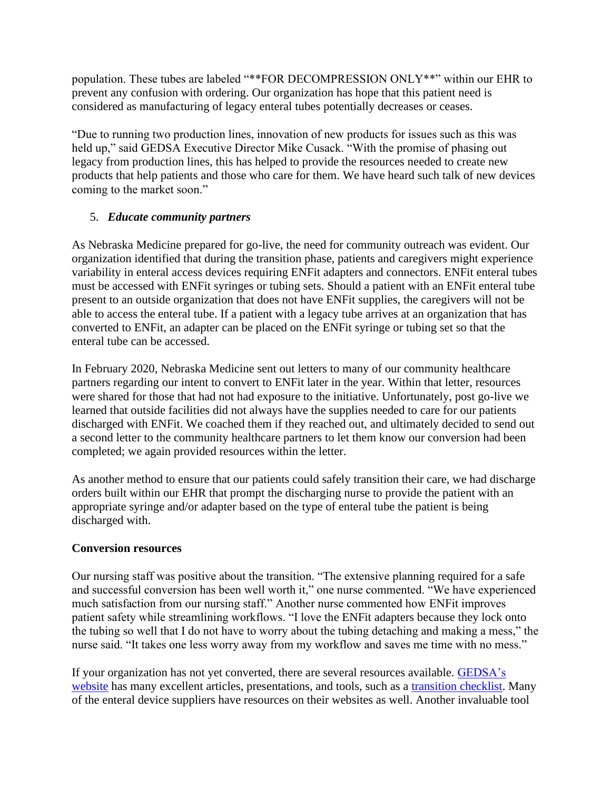population. These tubes are labeled "\*\*FOR DECOMPRESSION ONLY\*\*" within our EHR to prevent any confusion with ordering. Our organization has hope that this patient need is considered as manufacturing of legacy enteral tubes potentially decreases or ceases.

"Due to running two production lines, innovation of new products for issues such as this was held up," said GEDSA Executive Director Mike Cusack. "With the promise of phasing out legacy from production lines, this has helped to provide the resources needed to create new products that help patients and those who care for them. We have heard such talk of new devices coming to the market soon."

### 5. *Educate community partners*

As Nebraska Medicine prepared for go-live, the need for community outreach was evident. Our organization identified that during the transition phase, patients and caregivers might experience variability in enteral access devices requiring ENFit adapters and connectors. ENFit enteral tubes must be accessed with ENFit syringes or tubing sets. Should a patient with an ENFit enteral tube present to an outside organization that does not have ENFit supplies, the caregivers will not be able to access the enteral tube. If a patient with a legacy tube arrives at an organization that has converted to ENFit, an adapter can be placed on the ENFit syringe or tubing set so that the enteral tube can be accessed.

In February 2020, Nebraska Medicine sent out letters to many of our community healthcare partners regarding our intent to convert to ENFit later in the year. Within that letter, resources were shared for those that had not had exposure to the initiative. Unfortunately, post go-live we learned that outside facilities did not always have the supplies needed to care for our patients discharged with ENFit. We coached them if they reached out, and ultimately decided to send out a second letter to the community healthcare partners to let them know our conversion had been completed; we again provided resources within the letter.

As another method to ensure that our patients could safely transition their care, we had discharge orders built within our EHR that prompt the discharging nurse to provide the patient with an appropriate syringe and/or adapter based on the type of enteral tube the patient is being discharged with.

#### **Conversion resources**

Our nursing staff was positive about the transition. "The extensive planning required for a safe and successful conversion has been well worth it," one nurse commented. "We have experienced much satisfaction from our nursing staff." Another nurse commented how ENFit improves patient safety while streamlining workflows. "I love the ENFit adapters because they lock onto the tubing so well that I do not have to worry about the tubing detaching and making a mess," the nurse said. "It takes one less worry away from my workflow and saves me time with no mess."

If your organization has not yet converted, there are several resources available. [GEDSA's](http://www.stayconnected.org/)  [website](http://www.stayconnected.org/) has many excellent articles, presentations, and tools, such as a [transition checklist.](https://stayconnected.org/wp-content/uploads/2015/08/Nurses-Clinicians-for-website-2.pdf) Many of the enteral device suppliers have resources on their websites as well. Another invaluable tool